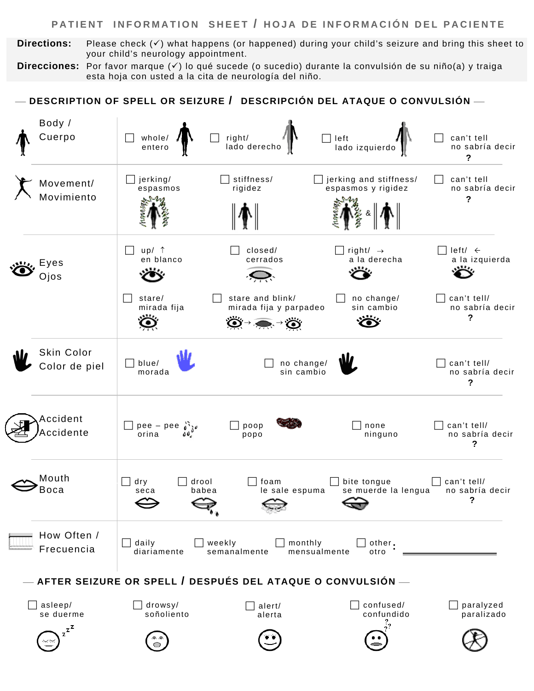### **PATIENT INFORMATION SHEET / HOJA DE INFORMACIÓN DEL PACIENTE**

 **Directions:** Please check (9) what happens (or happened) during your child's seizure and bring this sheet to your child's neurology appointment.

 **Direcciones:** Por favor marque (9) lo qué sucede (o sucedio) durante la convulsión de su niño(a) y traiga esta hoja con usted a la cita de neurología del niño.

#### $\overline{\phantom{a}}$  DESCRIPTION OF SPELL OR SEIZURE  $\prime$  DESCRIPCIÓN DEL ATAQUE O CONVULSIÓN  $\overline{\phantom{a}}$